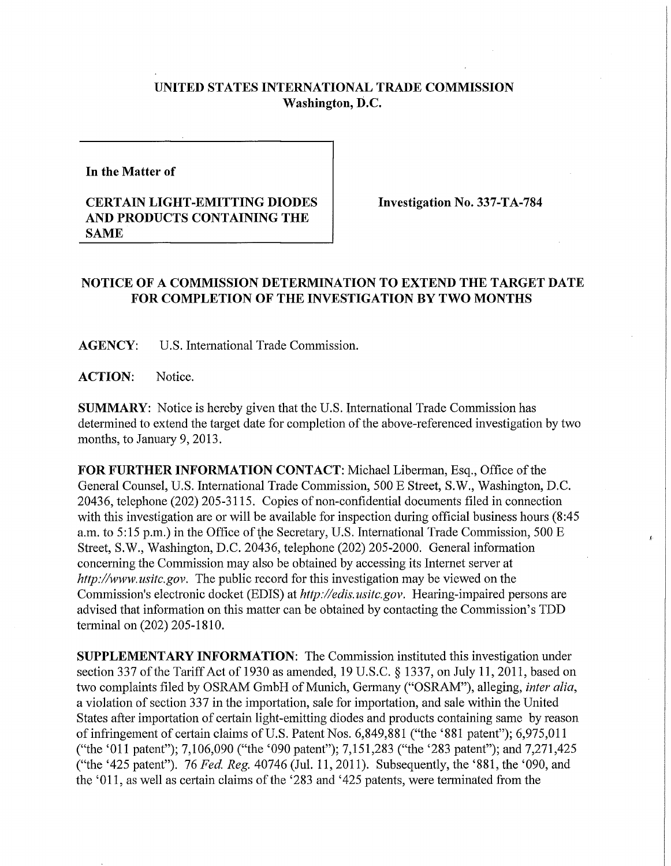## **UNITED STATES INTERNATIONAL TRADE COMMISSION Washington, D.C.**

**In the Matter of** 

## **CERTAIN LIGHT-EMITTING DIODES AND PRODUCTS CONTAINING THE SAME**

**Investigation No. 337-TA-784** 

 $\mathbf{z}$ 

## **NOTICE OF A COMMISSION DETERMINATION TO EXTEND THE TARGET DATE**  FOR COMPLETION OF THE INVESTIGATION BY TWO MONTHS

**AGENCY:** U.S. International Trade Commission.

**ACTION:** Notice.

**SUMMARY:** Notice is hereby given that the U.S. International Trade Commission has determined to extend the target date for completion of the above-referenced investigation by two months, to January 9, 2013.

FOR FURTHER INFORMATION CONTACT: Michael Liberman, Esq., Office of the General Counsel, U.S. International Trade Commission, 500 E Street, S.W., Washington, D.C. 20436, telephone (202) 205-3115. Copies of non-confidential documents filed in connection with this investigation are or will be available for inspection during official business hours (8:45 a.m. to 5:15 p.m.) in the Office of the Secretary, U.S. International Trade Commission, 500 E Street, S.W., Washington, D.C. 20436, telephone (202) 205-2000. General information concerning the Commission may also be obtained by accessing its Internet server at *http://www.nsitc.gov.* The public record for this investigation may be viewed on the Commission's electronic docket (EDIS) at *http://edis.usitc.gov.* Hearing-impaired persons are advised that information on this matter can be obtained by contacting the Commission's TDD terminal on (202) 205-1810.

**SUPPLEMENTARY INFORMATION:** The Commission instituted this investigation under section 337 of the Tariff Act of 1930 as amended, 19 U.S.C. § 1337, on July 11, 2011, based on two complaints filed by OSRAM GmbH of Munich, Germany ("OSRAM"), alleging, *inter alia,*  a violation of section 337 in the importation, sale for importation, and sale within the United States after importation of certain light-emitting diodes and products containing same by reason of infringement of certain claims of U.S. Patent Nos. 6,849,881 ("the '881 patent"); 6,975,011 ("the '011 patent"); 7,106,090 ("the '090 patent"); 7,151,283 ("the '283 patent"); and 7,271,425 ("the '425 patent"). 76 *Fed. Reg.* 40746 (Jul. 11, 2011). Subsequently, the '881, the '090, and the '011, as well as certain claims of the '283 and '425 patents, were terminated from the